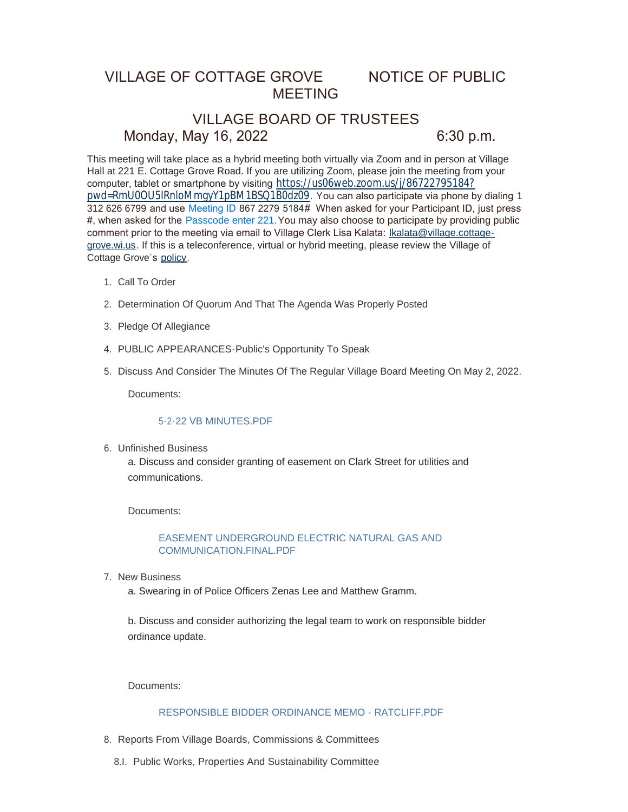# VILLAGE OF COTTAGE GROVE NOTICE OF PUBLIC MEETING

# VILLAGE BOARD OF TRUSTEES Monday, May 16, 2022 6:30 p.m.

This meeting will take place as a hybrid meeting both virtually via Zoom and in person at Village Hall at 221 E. Cottage Grove Road. If you are utilizing Zoom, please join the meeting from your computer, tablet or smartphone by visiting [https://us06web.zoom.us/j/86722795184?](https://us06web.zoom.us/j/86722795184?pwd=RmU0OU5IRnloMmgyY1pBM1BSQ1B0dz09) pwd=RmU0OU5IRnloMmgyY1pBM1BSQ1B0dz09. You can also participate via phone by dialing 1 312 626 6799 and use Meeting ID 867 2279 5184# When asked for your Participant ID, just press #, when asked for the Passcode enter 221.You may also choose to participate by providing public comment prior to the meeting via email to Village Clerk Lisa Kalata: Ikalata@village.cottagegrove.wi.us. If this is a teleconference, virtual or hybrid meeting, plea[se review the Village of](mailto:lkalata@village.cottage-grove.wi.us)  Cottage Grove's [policy](https://www.vi.cottagegrove.wi.gov/DocumentCenter/View/1850/Virtual-Hybrid-Tele-meeting-Policy-Final).

- 1. Call To Order
- 2. Determination Of Quorum And That The Agenda Was Properly Posted
- 3. Pledge Of Allegiance
- PUBLIC APPEARANCES-Public's Opportunity To Speak 4.
- 5. Discuss And Consider The Minutes Of The Regular Village Board Meeting On May 2, 2022.

Documents:

# [5-2-22 VB MINUTES.PDF](https://www.vi.cottagegrove.wi.gov/AgendaCenter/ViewFile/Item/10036?fileID=19679)

Unfinished Business 6.

a. Discuss and consider granting of easement on Clark Street for utilities and communications.

Documents:

# [EASEMENT UNDERGROUND ELECTRIC NATURAL GAS AND](https://www.vi.cottagegrove.wi.gov/AgendaCenter/ViewFile/Item/10060?fileID=19691)  COMMUNICATION.FINAL.PDF

7. New Business

a. Swearing in of Police Officers Zenas Lee and Matthew Gramm.

b. Discuss and consider authorizing the legal team to work on responsible bidder ordinance update.

Documents:

### [RESPONSIBLE BIDDER ORDINANCE MEMO - RATCLIFF.PDF](https://www.vi.cottagegrove.wi.gov/AgendaCenter/ViewFile/Item/10075?fileID=19704)

- 8. Reports From Village Boards, Commissions & Committees
	- 8.I. Public Works, Properties And Sustainability Committee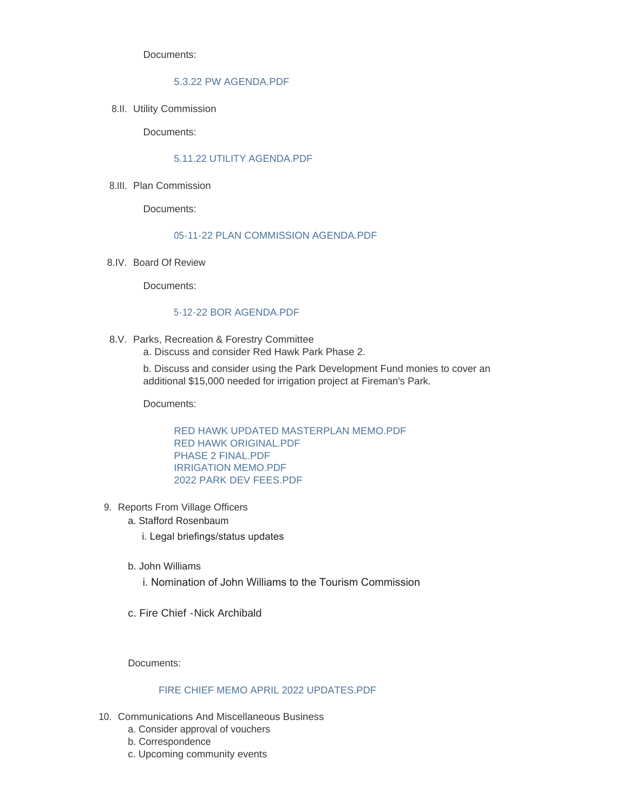Documents:

## [5.3.22 PW AGENDA.PDF](https://www.vi.cottagegrove.wi.gov/AgendaCenter/ViewFile/Item/10061?fileID=19692)

8.II. Utility Commission

Documents:

# [5.11.22 UTILITY AGENDA.PDF](https://www.vi.cottagegrove.wi.gov/AgendaCenter/ViewFile/Item/10040?fileID=19682)

8.III. Plan Commission

Documents:

#### [05-11-22 PLAN COMMISSION AGENDA.PDF](https://www.vi.cottagegrove.wi.gov/AgendaCenter/ViewFile/Item/10041?fileID=19683)

8.IV. Board Of Review

Documents:

# [5-12-22 BOR AGENDA.PDF](https://www.vi.cottagegrove.wi.gov/AgendaCenter/ViewFile/Item/10042?fileID=19684)

8.V. Parks, Recreation & Forestry Committee a. Discuss and consider Red Hawk Park Phase 2.

> b. Discuss and consider using the Park Development Fund monies to cover an additional \$15,000 needed for irrigation project at Fireman's Park.

Documents:

[RED HAWK UPDATED MASTERPLAN MEMO.PDF](https://www.vi.cottagegrove.wi.gov/AgendaCenter/ViewFile/Item/10088?fileID=19719) [RED HAWK ORIGINAL.PDF](https://www.vi.cottagegrove.wi.gov/AgendaCenter/ViewFile/Item/10088?fileID=19720) [PHASE 2 FINAL.PDF](https://www.vi.cottagegrove.wi.gov/AgendaCenter/ViewFile/Item/10088?fileID=19721) [IRRIGATION MEMO.PDF](https://www.vi.cottagegrove.wi.gov/AgendaCenter/ViewFile/Item/10088?fileID=19722) [2022 PARK DEV FEES.PDF](https://www.vi.cottagegrove.wi.gov/AgendaCenter/ViewFile/Item/10088?fileID=19723)

- 9. Reports From Village Officers
	- a. Stafford Rosenbaum
		- i. Legal briefings/status updates
	- b. John Williams
		- i. Nomination of John Williams to the Tourism Commission
	- c. Fire Chief -Nick Archibald

Documents:

## [FIRE CHIEF MEMO APRIL 2022 UPDATES.PDF](https://www.vi.cottagegrove.wi.gov/AgendaCenter/ViewFile/Item/10089?fileID=19724)

- 10. Communications And Miscellaneous Business
	- a. Consider approval of vouchers
	- b. Correspondence
	- c. Upcoming community events